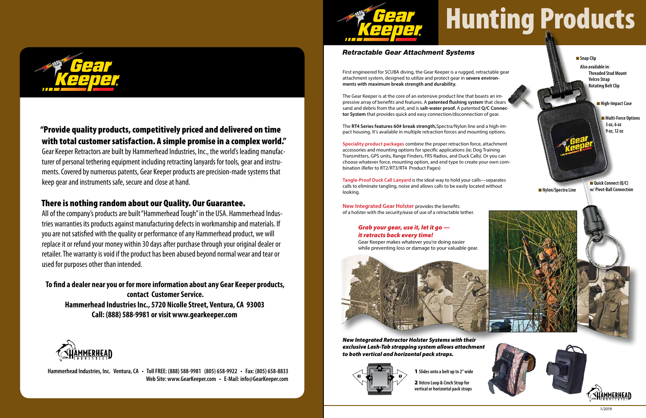# Hunting Products

**n** Multi-Force Options **3 oz, 6 oz 9 oz, 12 oz**

**n** Nylon/Spectra Line

First engineered for SCUBA diving, the Gear Keeper is a rugged, retractable gear attachment system, designed to utilize and protect gear in **severe environments with maximum break strength and durability.**

The Gear Keeper is at the core of an extensive product line that boasts an impressive array of benefits and features. A **patented flushing system** that clears sand and debris from the unit, and is **salt-water proof.** A patented **Q/C Connector System** that provides quick and easy connection/disconnection of gear.

The **RT4 Series features 60# break strength,**Spectra/Nylon line and a high-impact housing. It's available in multiple retraction forces and mounting options.

**n** Snap Clip  **Also available in: Threaded Stud Mount Velcro Strap Rotating Belt Clip**

**n** High-Impact Case

**Speciality product packages** combine the proper retraction force, attachment accessories and mounting options for specific applications (ie; Dog Training Transmitters, GPS units, Range Finders, FRS Radios, and Duck Calls). Or you can choose whatever force, mounting option, and end type to create your own combination (Refer to RT2/RT3/RT4 Product Pages)

> **n** Quick Connect (Q/C) **w/ Pivot-Ball Connection**

> > $1/201C$

**Tangle-Proof Duck Call Lanyard** is the ideal way to hold your calls—separates calls to eliminate tangling, noise and allows calls to be easily located without looking.

**New Integrated Gear Holster** provides the benefits of a holster with the security/ease of use of a retractable tether.





### *Retractable Gear Attachment Systems*

**vertical or horizontal pack straps** 



# "Provide quality products, competitively priced and delivered on time with total customer satisfaction. A simple promise in a complex world."

Gear Keeper Retractors are built by Hammerhead Industries, Inc., the world's leading manufacturer of personal tethering equipment including retracting lanyards for tools, gear and instruments. Covered by numerous patents, Gear Keeper products are precision-made systems that keep gear and instruments safe, secure and close at hand.

## There is nothing random about our Quality. Our Guarantee.

All of the company's products are built "Hammerhead Tough" in the USA. Hammerhead Industries warranties its products against manufacturing defects in workmanship and materials. If you are not satisfied with the quality or performance of any Hammerhead product, we will replace it or refund your money within 30 days after purchase through your original dealer or retailer. The warranty is void if the product has been abused beyond normal wear and tear or used for purposes other than intended.

**To find a dealer near you or for more information about any Gear Keeper products, contact Customer Service. Hammerhead Industries Inc., 5720 Nicolle Street, Ventura, CA 93003 Call: (888) 588-9981 or visit www.gearkeeper.com**



**Hammerhead Industries, Inc. Ventura, CA • Toll FREE: (888) 588-9981 (805) 658-9922 • Fax: (805) 658-8833 Web Site: www.GearKeeper.com • E-Mail: info@GearKeeper.com**